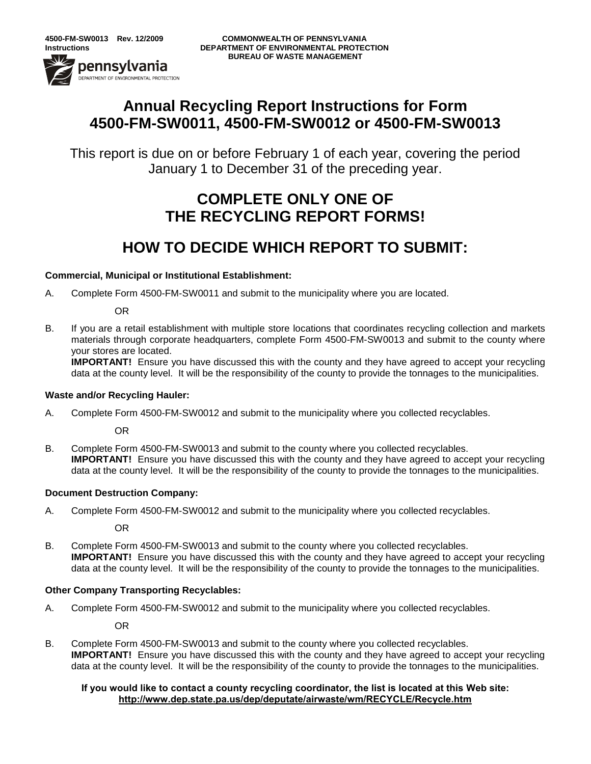-<br>DEPARTMENT OF ENVIRONMENTAL PROTECTION

# **Annual Recycling Report Instructions for Form 4500-FM-SW0011, 4500-FM-SW0012 or 4500-FM-SW0013**

This report is due on or before February 1 of each year, covering the period January 1 to December 31 of the preceding year.

# **COMPLETE ONLY ONE OF THE RECYCLING REPORT FORMS!**

# **HOW TO DECIDE WHICH REPORT TO SUBMIT:**

## **Commercial, Municipal or Institutional Establishment:**

A. Complete Form 4500-FM-SW0011 and submit to the municipality where you are located.

OR

B. If you are a retail establishment with multiple store locations that coordinates recycling collection and markets materials through corporate headquarters, complete Form 4500-FM-SW0013 and submit to the county where your stores are located.

**IMPORTANT!** Ensure you have discussed this with the county and they have agreed to accept your recycling data at the county level. It will be the responsibility of the county to provide the tonnages to the municipalities.

## **Waste and/or Recycling Hauler:**

A. Complete Form 4500-FM-SW0012 and submit to the municipality where you collected recyclables.

OR

B. Complete Form 4500-FM-SW0013 and submit to the county where you collected recyclables. **IMPORTANT!** Ensure you have discussed this with the county and they have agreed to accept your recycling data at the county level. It will be the responsibility of the county to provide the tonnages to the municipalities.

## **Document Destruction Company:**

A. Complete Form 4500-FM-SW0012 and submit to the municipality where you collected recyclables.

OR

B. Complete Form 4500-FM-SW0013 and submit to the county where you collected recyclables. **IMPORTANT!** Ensure you have discussed this with the county and they have agreed to accept your recycling data at the county level. It will be the responsibility of the county to provide the tonnages to the municipalities.

## **Other Company Transporting Recyclables:**

A. Complete Form 4500-FM-SW0012 and submit to the municipality where you collected recyclables.

OR

B. Complete Form 4500-FM-SW0013 and submit to the county where you collected recyclables. **IMPORTANT!** Ensure you have discussed this with the county and they have agreed to accept your recycling data at the county level. It will be the responsibility of the county to provide the tonnages to the municipalities.

### **If you would like to contact a county recycling coordinator, the list is located at this Web site: <http://www.dep.state.pa.us/dep/deputate/airwaste/wm/RECYCLE/Recycle.htm>**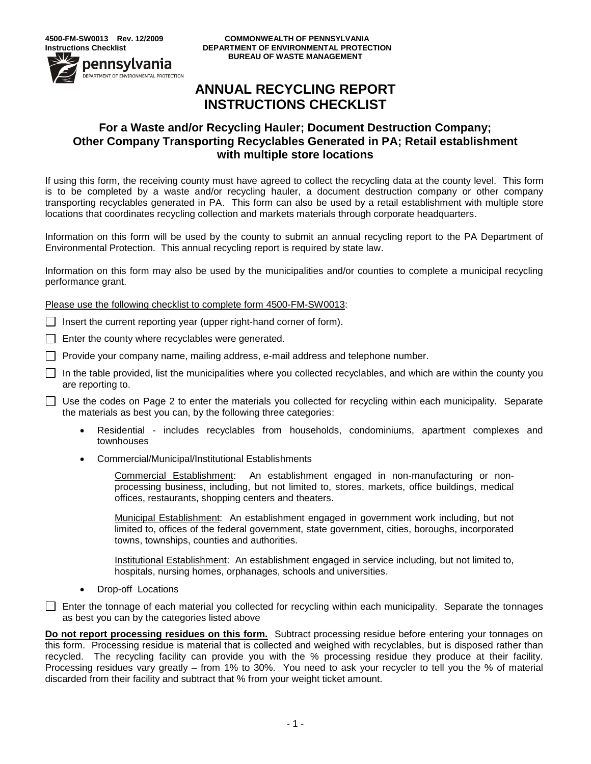pennsylvania .<br>DEPARTMENT OF ENVIRONMENTAL PROTECTION

**4500-FM-SW0013 Rev. 12/2009 COMMONWEALTH OF PENNSYLVANIA Instructions Checklist DEPARTMENT OF ENVIRONMENTAL PROTECTION BUREAU OF WASTE MANAGEMENT**

# **ANNUAL RECYCLING REPORT INSTRUCTIONS CHECKLIST**

## **For a Waste and/or Recycling Hauler; Document Destruction Company; Other Company Transporting Recyclables Generated in PA; Retail establishment with multiple store locations**

If using this form, the receiving county must have agreed to collect the recycling data at the county level. This form is to be completed by a waste and/or recycling hauler, a document destruction company or other company transporting recyclables generated in PA. This form can also be used by a retail establishment with multiple store locations that coordinates recycling collection and markets materials through corporate headquarters.

Information on this form will be used by the county to submit an annual recycling report to the PA Department of Environmental Protection. This annual recycling report is required by state law.

Information on this form may also be used by the municipalities and/or counties to complete a municipal recycling performance grant.

Please use the following checklist to complete form 4500-FM-SW0013:

 $\Box$  Insert the current reporting year (upper right-hand corner of form).

 $\Box$  Enter the county where recyclables were generated.

 $\Box$  Provide your company name, mailing address, e-mail address and telephone number.

 $\Box$  In the table provided, list the municipalities where you collected recyclables, and which are within the county you are reporting to.

Use the codes on Page 2 to enter the materials you collected for recycling within each municipality. Separate the materials as best you can, by the following three categories:

- Residential includes recyclables from households, condominiums, apartment complexes and townhouses
- Commercial/Municipal/Institutional Establishments

Commercial Establishment: An establishment engaged in non-manufacturing or nonprocessing business, including, but not limited to, stores, markets, office buildings, medical offices, restaurants, shopping centers and theaters.

Municipal Establishment: An establishment engaged in government work including, but not limited to, offices of the federal government, state government, cities, boroughs, incorporated towns, townships, counties and authorities.

Institutional Establishment: An establishment engaged in service including, but not limited to, hospitals, nursing homes, orphanages, schools and universities.

• Drop-off Locations

Enter the tonnage of each material you collected for recycling within each municipality. Separate the tonnages as best you can by the categories listed above

**Do not report processing residues on this form.** Subtract processing residue before entering your tonnages on this form. Processing residue is material that is collected and weighed with recyclables, but is disposed rather than recycled. The recycling facility can provide you with the % processing residue they produce at their facility. Processing residues vary greatly – from 1% to 30%. You need to ask your recycler to tell you the % of material discarded from their facility and subtract that % from your weight ticket amount.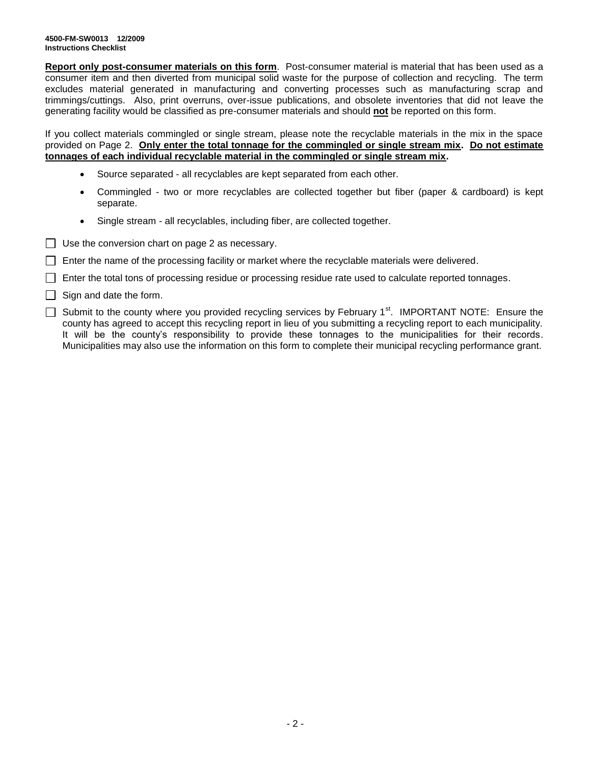**Report only post-consumer materials on this form**. Post-consumer material is material that has been used as a consumer item and then diverted from municipal solid waste for the purpose of collection and recycling. The term excludes material generated in manufacturing and converting processes such as manufacturing scrap and trimmings/cuttings. Also, print overruns, over-issue publications, and obsolete inventories that did not leave the generating facility would be classified as pre-consumer materials and should **not** be reported on this form.

If you collect materials commingled or single stream, please note the recyclable materials in the mix in the space provided on Page 2. **Only enter the total tonnage for the commingled or single stream mix. Do not estimate tonnages of each individual recyclable material in the commingled or single stream mix.**

- Source separated all recyclables are kept separated from each other.
- Commingled two or more recyclables are collected together but fiber (paper & cardboard) is kept separate.
- Single stream all recyclables, including fiber, are collected together.
- $\Box$  Use the conversion chart on page 2 as necessary.
- $\Box$  Enter the name of the processing facility or market where the recyclable materials were delivered.
- $\Box$  Enter the total tons of processing residue or processing residue rate used to calculate reported tonnages.
- $\Box$  Sign and date the form.
- $\Box$  Submit to the county where you provided recycling services by February 1<sup>st</sup>. IMPORTANT NOTE: Ensure the county has agreed to accept this recycling report in lieu of you submitting a recycling report to each municipality. It will be the county's responsibility to provide these tonnages to the municipalities for their records. Municipalities may also use the information on this form to complete their municipal recycling performance grant.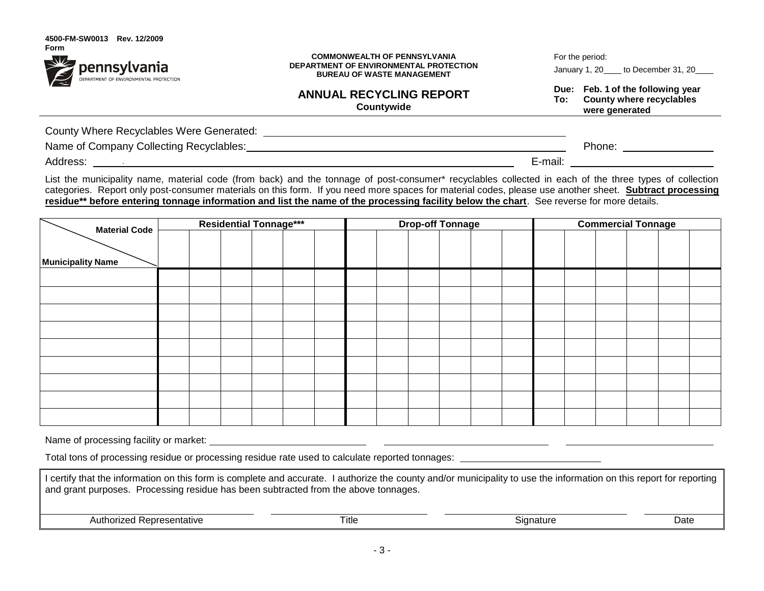| Form                                                          |                                        |
|---------------------------------------------------------------|----------------------------------------|
| <b>Dennsylvania</b><br>DEPARTMENT OF ENVIRONMENTAL PROTECTION | <b>COMMONWEALTH OF PENNSYLVANIA</b>    |
|                                                               | DEPARTMENT OF ENVIRONMENTAL PROTECTION |
|                                                               | <b>BUREAU OF WASTE MANAGEMENT</b>      |
|                                                               |                                        |

For the period:

January 1, 20 to December 31, 20

**Due: Feb. 1 of the following year To: County where recyclables were generated**

County Where Recyclables Were Generated:

Name of Company Collecting Recyclables:  $\blacksquare$ 

Address: E-mail:

**4500-FM-SW0013 Rev. 12/2009**

List the municipality name, material code (from back) and the tonnage of post-consumer\* recyclables collected in each of the three types of collection categories. Report only post-consumer materials on this form. If you need more spaces for material codes, please use another sheet. **Subtract processing residue\*\* before entering tonnage information and list the name of the processing facility below the chart**. See reverse for more details.

**ANNUAL RECYCLING REPORT Countywide**

| <b>Material Code</b>     | <b>Residential Tonnage***</b> |  |  | <b>Drop-off Tonnage</b> |  |  |  | <b>Commercial Tonnage</b> |  |  |  |  |  |  |  |  |
|--------------------------|-------------------------------|--|--|-------------------------|--|--|--|---------------------------|--|--|--|--|--|--|--|--|
|                          |                               |  |  |                         |  |  |  |                           |  |  |  |  |  |  |  |  |
| <b>Municipality Name</b> |                               |  |  |                         |  |  |  |                           |  |  |  |  |  |  |  |  |
|                          |                               |  |  |                         |  |  |  |                           |  |  |  |  |  |  |  |  |
|                          |                               |  |  |                         |  |  |  |                           |  |  |  |  |  |  |  |  |
|                          |                               |  |  |                         |  |  |  |                           |  |  |  |  |  |  |  |  |
|                          |                               |  |  |                         |  |  |  |                           |  |  |  |  |  |  |  |  |
|                          |                               |  |  |                         |  |  |  |                           |  |  |  |  |  |  |  |  |
|                          |                               |  |  |                         |  |  |  |                           |  |  |  |  |  |  |  |  |
|                          |                               |  |  |                         |  |  |  |                           |  |  |  |  |  |  |  |  |
|                          |                               |  |  |                         |  |  |  |                           |  |  |  |  |  |  |  |  |
|                          |                               |  |  |                         |  |  |  |                           |  |  |  |  |  |  |  |  |

Name of processing facility or market: <u>subsequent in the set of the set of the set of the set of the set of the set of the set of the set of the set of the set of the set of the set of the set of the set of the set of the</u>

Total tons of processing residue or processing residue rate used to calculate reported tonnages:

| I certify that the information on this form is complete and accurate. I authorize the county and/or municipality to use the information on this report for reporting<br>and grant purposes. Processing residue has been subtracted from the above tonnages. |       |           |      |  |  |  |
|-------------------------------------------------------------------------------------------------------------------------------------------------------------------------------------------------------------------------------------------------------------|-------|-----------|------|--|--|--|
| Authorized Representative                                                                                                                                                                                                                                   | Title | Signature | Date |  |  |  |